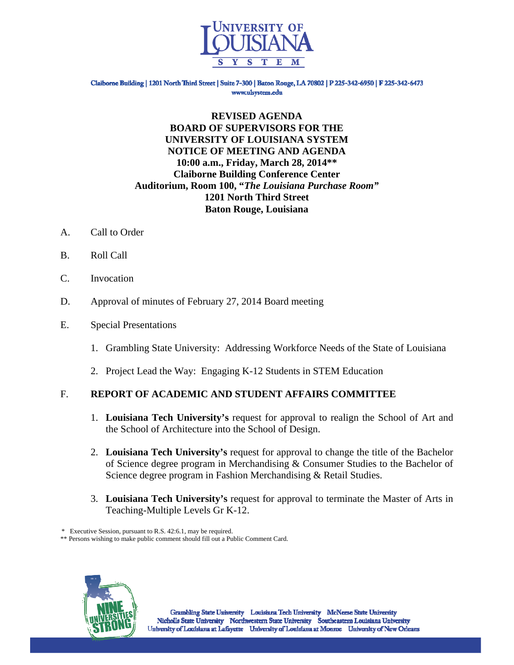

Claiborne Building | 1201 North Third Street | Suite 7-300 | Baton Rouge, LA 70802 | P 225-342-6950 | F 225-342-6473 www.ulsystem.edu

## **REVISED AGENDA BOARD OF SUPERVISORS FOR THE UNIVERSITY OF LOUISIANA SYSTEM NOTICE OF MEETING AND AGENDA 10:00 a.m., Friday, March 28, 2014\*\* Claiborne Building Conference Center Auditorium, Room 100, "***The Louisiana Purchase Room"*  **1201 North Third Street Baton Rouge, Louisiana**

- A. Call to Order
- B. Roll Call
- C. Invocation
- D. Approval of minutes of February 27, 2014 Board meeting
- E. Special Presentations
	- 1. Grambling State University: Addressing Workforce Needs of the State of Louisiana
	- 2. Project Lead the Way: Engaging K-12 Students in STEM Education

# F. **REPORT OF ACADEMIC AND STUDENT AFFAIRS COMMITTEE**

- 1. **Louisiana Tech University's** request for approval to realign the School of Art and the School of Architecture into the School of Design.
- 2. **Louisiana Tech University's** request for approval to change the title of the Bachelor of Science degree program in Merchandising & Consumer Studies to the Bachelor of Science degree program in Fashion Merchandising & Retail Studies.
- 3. **Louisiana Tech University's** request for approval to terminate the Master of Arts in Teaching-Multiple Levels Gr K-12.

\* Executive Session, pursuant to R.S. 42:6.1, may be required.

\*\* Persons wishing to make public comment should fill out a Public Comment Card.

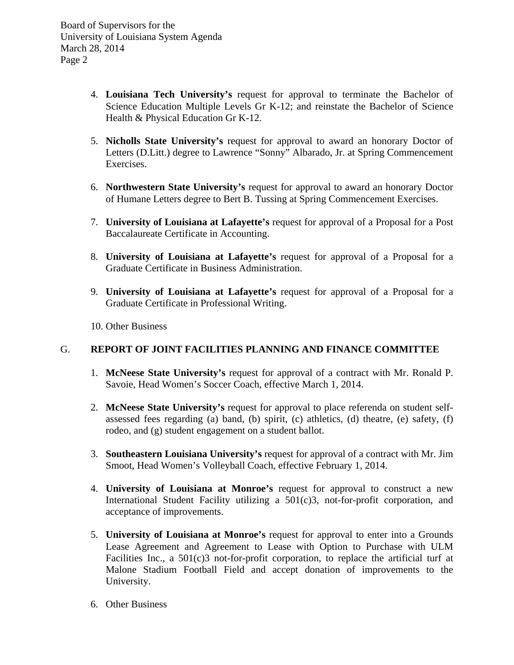- 4. **Louisiana Tech University's** request for approval to terminate the Bachelor of Science Education Multiple Levels Gr K-12; and reinstate the Bachelor of Science Health & Physical Education Gr K-12.
- 5. **Nicholls State University's** request for approval to award an honorary Doctor of Letters (D.Litt.) degree to Lawrence "Sonny" Albarado, Jr. at Spring Commencement Exercises.
- 6. **Northwestern State University's** request for approval to award an honorary Doctor of Humane Letters degree to Bert B. Tussing at Spring Commencement Exercises.
- 7. **University of Louisiana at Lafayette's** request for approval of a Proposal for a Post Baccalaureate Certificate in Accounting.
- 8. **University of Louisiana at Lafayette's** request for approval of a Proposal for a Graduate Certificate in Business Administration.
- 9. **University of Louisiana at Lafayette's** request for approval of a Proposal for a Graduate Certificate in Professional Writing.
- 10. Other Business

# G. **REPORT OF JOINT FACILITIES PLANNING AND FINANCE COMMITTEE**

- 1. **McNeese State University's** request for approval of a contract with Mr. Ronald P. Savoie, Head Women's Soccer Coach, effective March 1, 2014.
- 2. **McNeese State University's** request for approval to place referenda on student selfassessed fees regarding (a) band, (b) spirit, (c) athletics, (d) theatre, (e) safety, (f) rodeo, and (g) student engagement on a student ballot.
- 3. **Southeastern Louisiana University's** request for approval of a contract with Mr. Jim Smoot, Head Women's Volleyball Coach, effective February 1, 2014.
- 4. **University of Louisiana at Monroe's** request for approval to construct a new International Student Facility utilizing a 501(c)3, not-for-profit corporation, and acceptance of improvements.
- 5. **University of Louisiana at Monroe's** request for approval to enter into a Grounds Lease Agreement and Agreement to Lease with Option to Purchase with ULM Facilities Inc., a 501(c)3 not-for-profit corporation, to replace the artificial turf at Malone Stadium Football Field and accept donation of improvements to the University.
- 6. Other Business